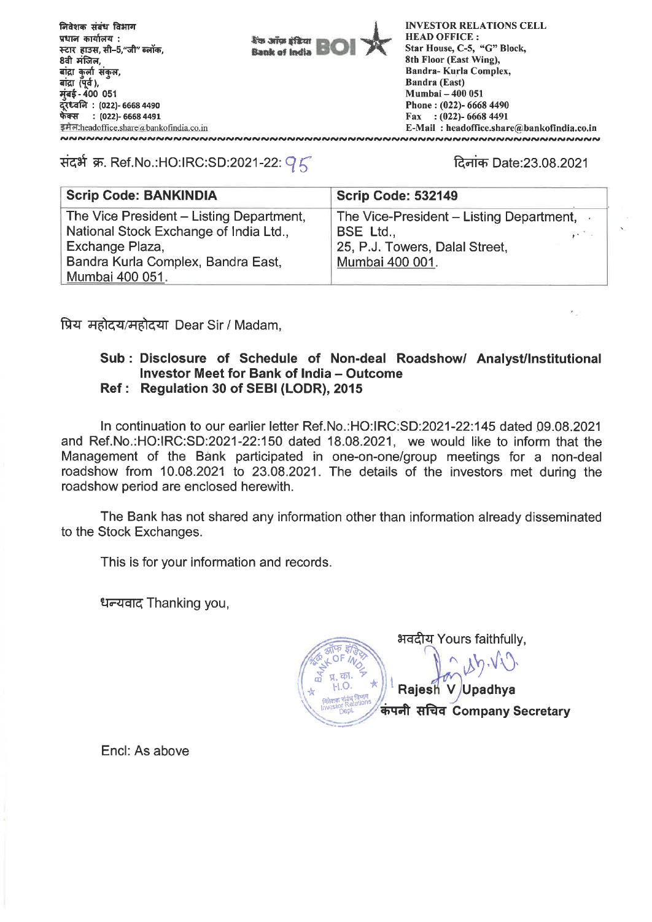**fftsrq 4-414- faun VITT4 qtietipiti :**  स्टार हाउस, सी-5,"जी" ब्लॉक, 8वी मंजिल, बांद्रा कुली संकुल, **ai**द्रा (पूर्व), **1:1-4- <sup>400</sup><sup>051</sup> : (022)- 6668 4490 -4Scr : (022)- 6668 4491**  ERA.headoffice.share@bankofindia.co.in<br>considerations and considerations

**kvs ariss (filter)**<br>Bank of India

**INVESTOR RELATIONS CELL HEAD OFFICE : Star House, C-5, "G" Block, 8th Floor (East Wing), Bandra- Kurla Complex, Bandra (East) Mumbai - 400 051 Phone : (022)- 6668 4490 Fax : (022)- 6668 4491 E-Mail : headoffice.share@bankofindia.co.in** 

## संदर्भ क्र. Ref.No.:HO:IRC:SD:2021-22:  $95$  and the contract Ref.23.08.2021

| <b>Scrip Code: BANKINDIA</b>             | <b>Scrip Code: 532149</b>                                         |
|------------------------------------------|-------------------------------------------------------------------|
| The Vice President – Listing Department, | The Vice-President – Listing Department, $\overline{\phantom{a}}$ |
| National Stock Exchange of India Ltd.,   | BSE Ltd.,<br>an Tin                                               |
| Exchange Plaza,                          | 25, P.J. Towers, Dalal Street,                                    |
| Bandra Kurla Complex, Bandra East,       | Mumbai 400 001.                                                   |
| Mumbai 400 051.                          |                                                                   |

fly **21-61-717,1-16 c,eii Dear Sir / Madam,** 

## **Sub : Disclosure of Schedule of Non-deal Roadshow/ Analyst/Institutional Investor Meet for Bank of India — Outcome Ref : Regulation 30 of SEBI (LODR), 2015**

**In continuation to our earlier letter Ref.No.:HO:IRC:SD:2021-22:145 dated 09.08.2021 and Ref.No.:HO:IRC:SD:2021-22:150 dated 18.08.2021, we would like to inform that the Management of the Bank participated in one-on-one/group meetings for a non-deal roadshow from 10.08.2021 to 23.08.2021. The details of the investors met during the roadshow period are enclosed herewith.** 

**The Bank has not shared any information other than information already disseminated to the Stock Exchanges.** 

**This is for your information and records.** 

**Ic Thanking you,** 

**gatzt Yours faithfully, 4-OF /**  si.w. **<sup>i</sup> <sup>R</sup>**ajesh **i"** r **, V Upadhya Advise vidua Brune Tlita Company Secretary** 

**Encl: As above**